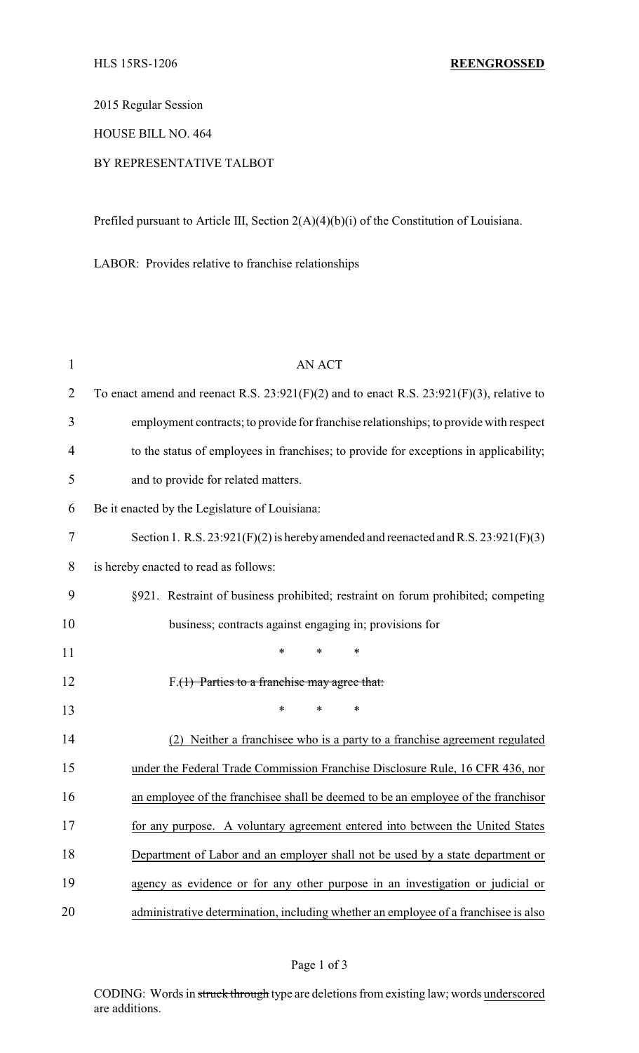2015 Regular Session

HOUSE BILL NO. 464

# BY REPRESENTATIVE TALBOT

Prefiled pursuant to Article III, Section 2(A)(4)(b)(i) of the Constitution of Louisiana.

LABOR: Provides relative to franchise relationships

| 1              | <b>AN ACT</b>                                                                                 |  |  |
|----------------|-----------------------------------------------------------------------------------------------|--|--|
| $\overline{2}$ | To enact amend and reenact R.S. $23:921(F)(2)$ and to enact R.S. $23:921(F)(3)$ , relative to |  |  |
| 3              | employment contracts; to provide for franchise relationships; to provide with respect         |  |  |
| 4              | to the status of employees in franchises; to provide for exceptions in applicability;         |  |  |
| 5              | and to provide for related matters.                                                           |  |  |
| 6              | Be it enacted by the Legislature of Louisiana:                                                |  |  |
| 7              | Section 1. R.S. $23:921(F)(2)$ is hereby amended and reenacted and R.S. $23:921(F)(3)$        |  |  |
| 8              | is hereby enacted to read as follows:                                                         |  |  |
| 9              | §921. Restraint of business prohibited; restraint on forum prohibited; competing              |  |  |
| 10             | business; contracts against engaging in; provisions for                                       |  |  |
| 11             | $\ast$<br>$\ast$<br>$\ast$                                                                    |  |  |
| 12             | $F.(1)$ Parties to a franchise may agree that:                                                |  |  |
| 13             | $\ast$<br>*<br>*                                                                              |  |  |
| 14             | Neither a franchisee who is a party to a franchise agreement regulated                        |  |  |
| 15             | under the Federal Trade Commission Franchise Disclosure Rule, 16 CFR 436, nor                 |  |  |
| 16             | an employee of the franchisee shall be deemed to be an employee of the franchisor             |  |  |
| 17             | for any purpose. A voluntary agreement entered into between the United States                 |  |  |
| 18             | Department of Labor and an employer shall not be used by a state department or                |  |  |
| 19             | agency as evidence or for any other purpose in an investigation or judicial or                |  |  |
| 20             | administrative determination, including whether an employee of a franchisee is also           |  |  |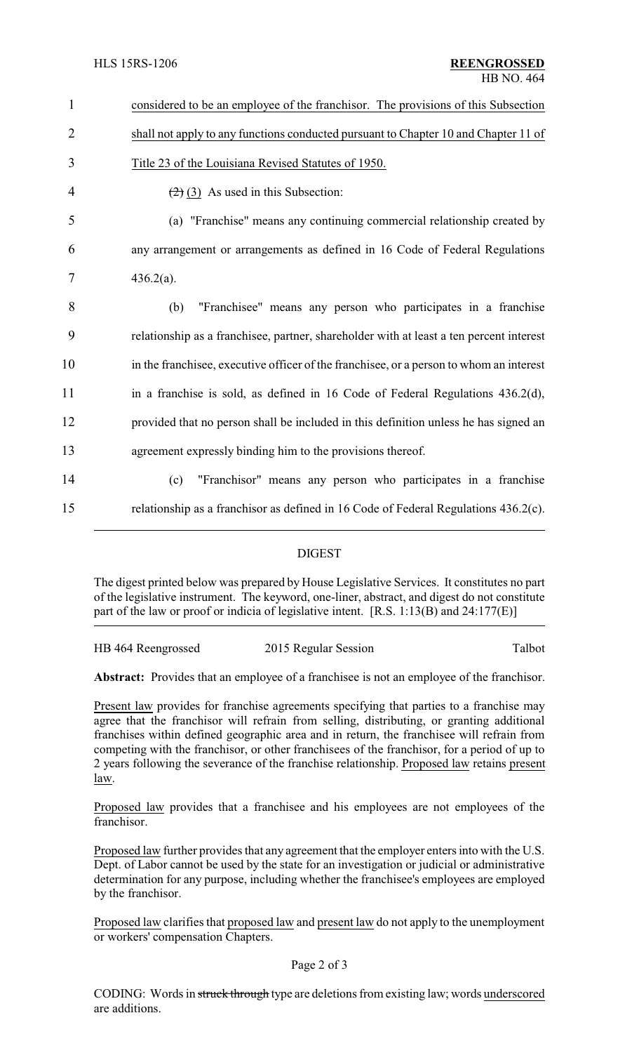| $\mathbf{1}$   | considered to be an employee of the franchisor. The provisions of this Subsection         |
|----------------|-------------------------------------------------------------------------------------------|
| $\overline{2}$ | shall not apply to any functions conducted pursuant to Chapter 10 and Chapter 11 of       |
| 3              | Title 23 of the Louisiana Revised Statutes of 1950.                                       |
| 4              | $\left(\frac{2}{2}\right)$ (3) As used in this Subsection:                                |
| 5              | (a) "Franchise" means any continuing commercial relationship created by                   |
| 6              | any arrangement or arrangements as defined in 16 Code of Federal Regulations              |
| 7              | $436.2(a)$ .                                                                              |
| 8              | "Franchisee" means any person who participates in a franchise<br>(b)                      |
| 9              | relationship as a franchise e, partner, shareholder with at least a ten percent interest  |
| 10             | in the franchise e, executive officer of the franchise e, or a person to whom an interest |
| 11             | in a franchise is sold, as defined in 16 Code of Federal Regulations 436.2(d),            |
| 12             | provided that no person shall be included in this definition unless he has signed an      |
| 13             | agreement expressly binding him to the provisions thereof.                                |
| 14             | "Franchisor" means any person who participates in a franchise<br>(c)                      |
| 15             | relationship as a franchisor as defined in 16 Code of Federal Regulations 436.2(c).       |
|                |                                                                                           |

#### DIGEST

The digest printed below was prepared by House Legislative Services. It constitutes no part of the legislative instrument. The keyword, one-liner, abstract, and digest do not constitute part of the law or proof or indicia of legislative intent. [R.S. 1:13(B) and 24:177(E)]

| HB 464 Reengrossed | 2015 Regular Session | Talbot |
|--------------------|----------------------|--------|
|                    |                      |        |

Abstract: Provides that an employee of a franchisee is not an employee of the franchisor.

Present law provides for franchise agreements specifying that parties to a franchise may agree that the franchisor will refrain from selling, distributing, or granting additional franchises within defined geographic area and in return, the franchisee will refrain from competing with the franchisor, or other franchisees of the franchisor, for a period of up to 2 years following the severance of the franchise relationship. Proposed law retains present law.

Proposed law provides that a franchisee and his employees are not employees of the franchisor.

Proposed law further provides that any agreement that the employer enters into with the U.S. Dept. of Labor cannot be used by the state for an investigation or judicial or administrative determination for any purpose, including whether the franchisee's employees are employed by the franchisor.

Proposed law clarifies that proposed law and present law do not apply to the unemployment or workers' compensation Chapters.

CODING: Words in struck through type are deletions from existing law; words underscored are additions.